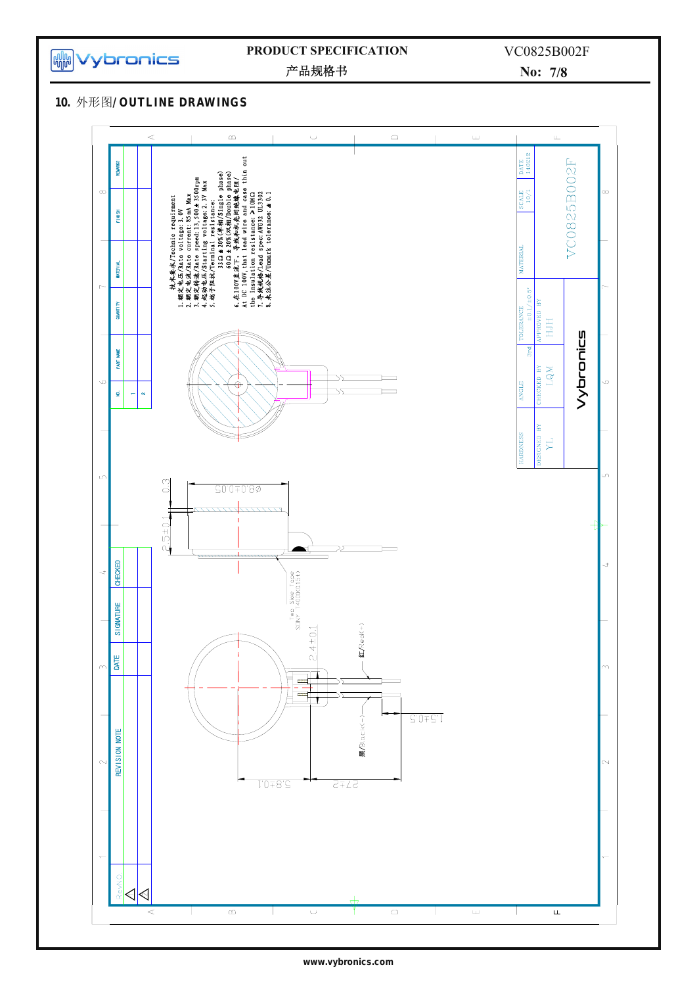

## **PRODUCT SPECIFICATION**

产品规格书

**No: 7/8**

**10.** 外形图 **/ OUTLINE DR AWINGS**